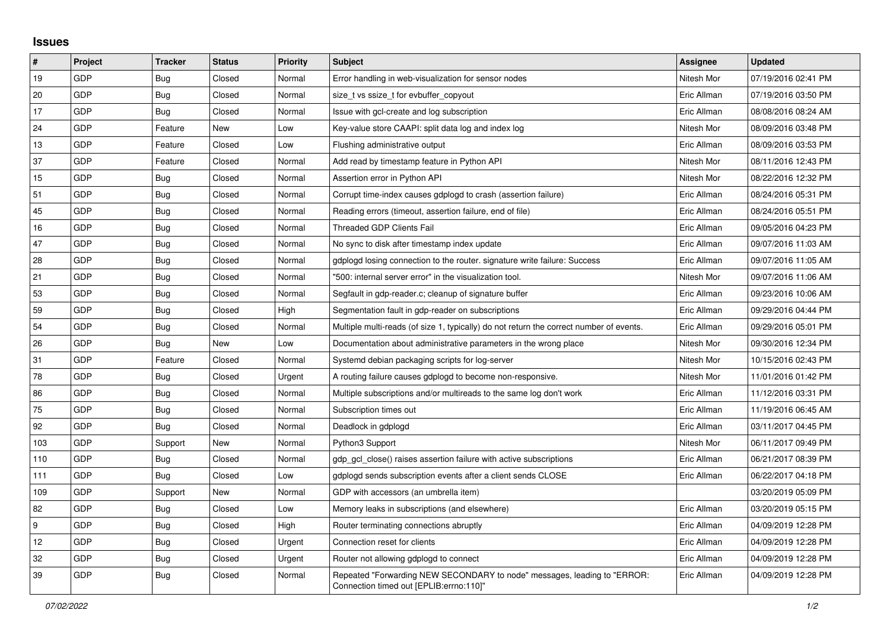## **Issues**

| $\vert$ # | Project    | <b>Tracker</b> | <b>Status</b> | <b>Priority</b> | <b>Subject</b>                                                                                                      | Assignee    | <b>Updated</b>      |
|-----------|------------|----------------|---------------|-----------------|---------------------------------------------------------------------------------------------------------------------|-------------|---------------------|
| 19        | GDP        | <b>Bug</b>     | Closed        | Normal          | Error handling in web-visualization for sensor nodes                                                                | Nitesh Mor  | 07/19/2016 02:41 PM |
| 20        | GDP        | <b>Bug</b>     | Closed        | Normal          | size t vs ssize t for evbuffer copyout                                                                              | Eric Allman | 07/19/2016 03:50 PM |
| 17        | GDP        | Bug            | Closed        | Normal          | Issue with gcl-create and log subscription                                                                          | Eric Allman | 08/08/2016 08:24 AM |
| 24        | <b>GDP</b> | Feature        | New           | Low             | Key-value store CAAPI: split data log and index log                                                                 | Nitesh Mor  | 08/09/2016 03:48 PM |
| 13        | GDP        | Feature        | Closed        | Low             | Flushing administrative output                                                                                      | Eric Allman | 08/09/2016 03:53 PM |
| 37        | GDP        | Feature        | Closed        | Normal          | Add read by timestamp feature in Python API                                                                         | Nitesh Mor  | 08/11/2016 12:43 PM |
| 15        | <b>GDP</b> | Bug            | Closed        | Normal          | Assertion error in Python API                                                                                       | Nitesh Mor  | 08/22/2016 12:32 PM |
| 51        | GDP        | Bug            | Closed        | Normal          | Corrupt time-index causes gdplogd to crash (assertion failure)                                                      | Eric Allman | 08/24/2016 05:31 PM |
| 45        | GDP        | Bug            | Closed        | Normal          | Reading errors (timeout, assertion failure, end of file)                                                            | Eric Allman | 08/24/2016 05:51 PM |
| 16        | <b>GDP</b> | Bug            | Closed        | Normal          | Threaded GDP Clients Fail                                                                                           | Eric Allman | 09/05/2016 04:23 PM |
| 47        | GDP        | Bug            | Closed        | Normal          | No sync to disk after timestamp index update                                                                        | Eric Allman | 09/07/2016 11:03 AM |
| 28        | GDP        | <b>Bug</b>     | Closed        | Normal          | gdplogd losing connection to the router, signature write failure: Success                                           | Eric Allman | 09/07/2016 11:05 AM |
| 21        | GDP        | Bug            | Closed        | Normal          | "500: internal server error" in the visualization tool.                                                             | Nitesh Mor  | 09/07/2016 11:06 AM |
| 53        | <b>GDP</b> | <b>Bug</b>     | Closed        | Normal          | Segfault in gdp-reader.c; cleanup of signature buffer                                                               | Eric Allman | 09/23/2016 10:06 AM |
| 59        | GDP        | <b>Bug</b>     | Closed        | High            | Segmentation fault in gdp-reader on subscriptions                                                                   | Eric Allman | 09/29/2016 04:44 PM |
| 54        | GDP        | <b>Bug</b>     | Closed        | Normal          | Multiple multi-reads (of size 1, typically) do not return the correct number of events.                             | Eric Allman | 09/29/2016 05:01 PM |
| 26        | <b>GDP</b> | <b>Bug</b>     | New           | Low             | Documentation about administrative parameters in the wrong place                                                    | Nitesh Mor  | 09/30/2016 12:34 PM |
| 31        | GDP        | Feature        | Closed        | Normal          | Systemd debian packaging scripts for log-server                                                                     | Nitesh Mor  | 10/15/2016 02:43 PM |
| 78        | GDP        | <b>Bug</b>     | Closed        | Urgent          | A routing failure causes gdplogd to become non-responsive.                                                          | Nitesh Mor  | 11/01/2016 01:42 PM |
| 86        | GDP        | Bug            | Closed        | Normal          | Multiple subscriptions and/or multireads to the same log don't work                                                 | Eric Allman | 11/12/2016 03:31 PM |
| 75        | <b>GDP</b> | Bug            | Closed        | Normal          | Subscription times out                                                                                              | Eric Allman | 11/19/2016 06:45 AM |
| 92        | GDP        | Bug            | Closed        | Normal          | Deadlock in gdplogd                                                                                                 | Eric Allman | 03/11/2017 04:45 PM |
| 103       | GDP        | Support        | New           | Normal          | Python3 Support                                                                                                     | Nitesh Mor  | 06/11/2017 09:49 PM |
| 110       | <b>GDP</b> | Bug            | Closed        | Normal          | gdp gcl close() raises assertion failure with active subscriptions                                                  | Eric Allman | 06/21/2017 08:39 PM |
| 111       | GDP        | Bug            | Closed        | Low             | gdplogd sends subscription events after a client sends CLOSE                                                        | Eric Allman | 06/22/2017 04:18 PM |
| 109       | GDP        | Support        | New           | Normal          | GDP with accessors (an umbrella item)                                                                               |             | 03/20/2019 05:09 PM |
| 82        | <b>GDP</b> | Bug            | Closed        | Low             | Memory leaks in subscriptions (and elsewhere)                                                                       | Eric Allman | 03/20/2019 05:15 PM |
| 9         | GDP        | Bug            | Closed        | High            | Router terminating connections abruptly                                                                             | Eric Allman | 04/09/2019 12:28 PM |
| 12        | GDP        | Bug            | Closed        | Urgent          | Connection reset for clients                                                                                        | Eric Allman | 04/09/2019 12:28 PM |
| 32        | GDP        | Bug            | Closed        | Urgent          | Router not allowing gdplogd to connect                                                                              | Eric Allman | 04/09/2019 12:28 PM |
| 39        | <b>GDP</b> | Bug            | Closed        | Normal          | Repeated "Forwarding NEW SECONDARY to node" messages, leading to "ERROR:<br>Connection timed out [EPLIB:errno:110]" | Eric Allman | 04/09/2019 12:28 PM |